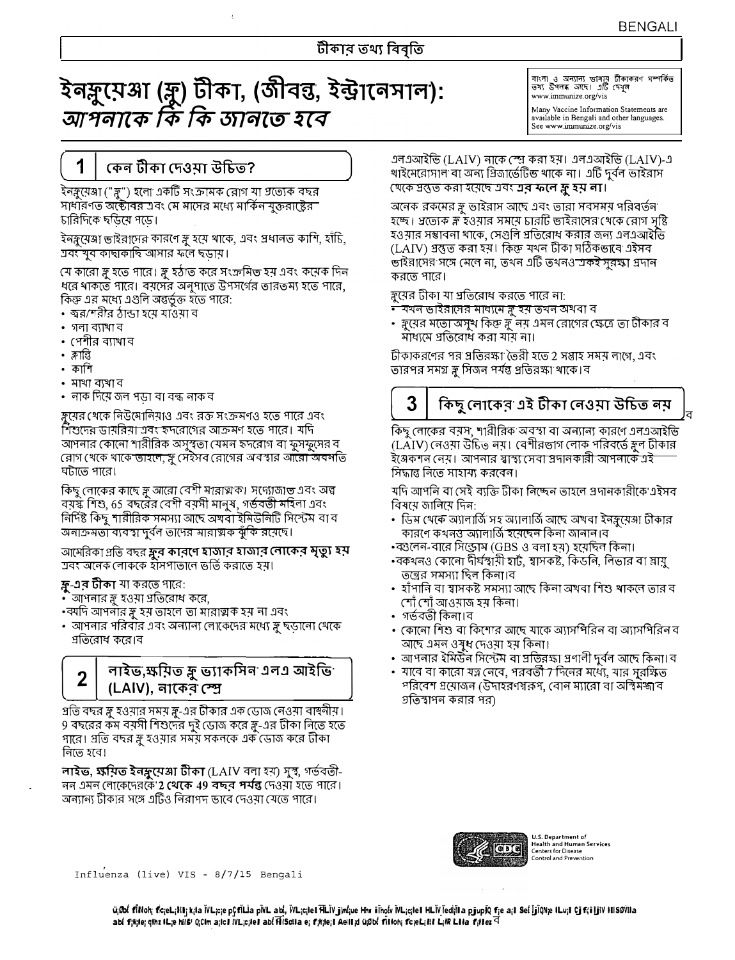# ইনর্সু্মেঞ্জা (রু) টীকা, (জীবন্তু, ইন্ট্রানেসাল): আশলাকে কি কি জানতে হবে

বাংলা ও অন্যান্য ভাষায় টীকাকরণ সম্পর্কিত<br>তথ্য উপনব্ধ আছে। এটি দেখুল www.immunize.org/vis

Many Vaccine Information Statements are available in Bengali and other languages. See www.immunize.org/vis

# কেন টীকা দেওমা উচিত?

ইনঙ্গুয়েঞ্জা ("ঙ্গু") হলো একটি সংক্রামক রোগ যা গ্যত্যেক বছর সাধারণত অক্টোবর এবং মে মাসের মধ্যে মার্কিন যুক্তরাষ্ট্রের চারিদিকে ছডিয়ে পডে।

ইনর্ম্বেঞ্জা ভাইরাসের কারণে স্লু হয়ে থাকে, এবং প্রধানত কাশি, হাঁচি, ত্ৰবং যুব কাছাকাছি আসার ফলে ছডায়।

যে কারো স্ত্রু হতে পারে। স্ত্রু হঠাত করে সংক্রমিত হয় এবং কয়েক দিন ধরে থাকতে পারে। বয়সের অনুপাতে উপসর্গের তারতম্য হতে পারে, কিন্তু এর মধ্যে এগুলি অন্তর্ভুক্ত হতে পারে:

- ষর/শরীর ঠান্ডা হয়ে যাওঁয়া ব
- $\cdot$  গলা ব্যাখা ব
- পেশীর ব্যাথা ব
- क्लांछे

1

- কাশি
- মাথা ব্যখা ব
- নাক দিয়ে জল পডা বা বন্ধ নাক ব

ক্ন্সের খেকে নিউমোনিয়াও এবং রক্ত সংক্রমণও হতে পারে এবং শিশুদের ডামরিমা এবং হৃদরোগের আক্রমণ হতে পারে। যদি আপনার কোনো শারীরিক অসুস্থতা মেমন হৃদরোগ বা ফুসফুসের ব রোগ খেকে থাকে তাহলে, স্লু সেইসব রোগের অবস্থার আরো অবনতি ঘটাতে পারে।

কিছু লোকের কাছে স্লু আরো বেশী মারাত্মক। সদ্যোজাত এবং অল্প বয়স্ক শিশু, 65 বছরের বেশী বয়সী মানুষ, গর্ভবতী মহিলা এবং নিৰ্দিষ্ট কিছু শারীরিক সমস্যা আছে অখবা ইমিউনিটি সিস্টেম বা ব অনাক্রমতা ব্যবস্থা দুর্বল তাদের মারাত্মক ঝুঁকি রয়েছে।

আমেরিকা প্রতি বছর স্কুর কারণে হাজার হাজার নোকের মৃত্যু হয় শ্ৰবং অনেক লোককে হীসপাতানে ভৰ্ত্তি করাতে হয়।

## ফ্ল-এর টীকা যা করতে পারে:

 $\mathbf 2$ 

- `আপনার স্লু হওয়া প্রতিরোধ করে,
- •ব্যদি আপনার ফ্লু হয় তাহলে তা মারাত্মক হয় না এবং
- আপনার পরিবার এবং অন্যান্য লোকেদের মধ্যে স্লু ছডানো থেকে প্রতিরোধ করে।ব

# লাইভ,ক্ষয়িত ফ্লু ভ্যাকসিন এলএ আইভি (LAIV), নাকের স্প্রে

গ্রতি বছর ফ্লু হওয়ার সময় ফ্লু-এর টীকার এক ডোজ নেওয়া বাহুনীয়। 9 বছরের কম বয়সী শিশুদের দুই ডোজ করে ক্লু-এর টীকা নিতে হতে পারে। প্রতি বছর ফ্ল হওয়ার সময় সকলকে এক ডোজ করে টীকা নিতে হবে।

লাইভ, ক্ষয়িত ইনফ্লুয়েঞ্জা টীকা (LAIV বলা হয়) সুস্থ, গৰ্ভবত্তী-নন এমন লোকেদেরকে **2 থেকে 49 বছর পর্যন্ত** দেওমা হতে পারে। অন্যান্য টীকার সঙ্গে এটিও নিরাপদ ভাবে দেওয়া যেতে পারে।

এলএআইভি (LAIV) নাকে স্প্রে করা হয়। এলএআইভি (LAIV)-এ খাইমেরোসাল বা অন্য প্রিজার্ভেটিভ থাকে না। এটি দুর্বল ভাইরাস খেকে স্রস্তুত করা হয়েছে এবং **এর ফলে ফ্লু হয় লা**।

অনেক রকমের স্লু ভাইরাস আছে এবং তারা সবসময় পরিবর্তন হচ্ছে। প্রত্যেক স্ল হওমার সময়ে চারটি ভাইরাসের থেকে রোগ সষ্টি হওয়ার সম্ভাবনা থাকে, সেগুলি প্রতিরোধ করার জন্য এলএআইভি (LAIV) প্ৰস্তুত করা হয়। কিন্তু যথন টীকা সঠিকভাবে এইসব ভাইরাসের সঙ্গে মেনে না. তথন এটি তথনও একই সরক্ষা প্রদান করতে পারে।

স্নুয়ের টীকা যা প্রতিরোধ করতে পারে না:

<u>• যখন ভাইরাসের মাব্যমে ক্লু হয় তখন অখবা ব</u>

• স্নুয়ের মতো অসুথ কিন্তু স্নূ নয় এমন রোগের ক্ষেত্রে তা টীকার ব মাধ্যমে প্রতিরোধ করা যায় না।

টীকাকরণের পর প্রতিরক্ষা তৈরী হতে 2 সম্ভাহ সময় লাগে, এবং তারপর সমগ্র ফ্লু সিজন পর্যন্ত প্রতিরক্ষা থাকে। ব

# 3

# কিছু লোকের এই টীকা নেওম়া উচিত নয়

কিছু লোকের বয়স, শারীরিক অবস্থা বা অন্যান্য কারণে এলএআইভি (LAIV) নেওয়া উচিত নয়। বেশীরভাগ লোক পরিবর্তে স্ত্রুল টীকার ইঞ্জকশন নেয়। আপনার স্বাস্থ্য সেবা স্রদানকারী আপনাকে এই সিদ্ধান্ত নিতে সাহায্য করবেন।

যদি আপনি বা সেই ব্যক্তি টীকা নিষ্কেন তাহলে প্ৰদানকারীকে এইসব বিষয়ে জানিয়ে দিন:

- ডিম থেকে অ্যালার্তি সহ অ্যালার্তি আছে অখবা ইনক্লয়েঞ্জা টীকার কারণে কথনত্ত অ্যালার্তি হয়েছেন কিনা জানান।ব
- •ব্গুলেন-বারে সিন্ড্রোম (GBS ও বলা হয়) হয়েছিন কিনা।
- •বকথনও কোনো দীর্ঘস্বায়ী হার্ট, স্বাসকষ্ট, কিডনি, লিভার বা স্নায়ু তন্ত্রের সমস্যা ছিল কিন্য।ব
- হাঁপানি বা শ্বাসকষ্ট সমস্যা আছে কিনা অখবা শিশু খাকনে তার ব শোঁ শোঁ আওমাজ হম কিনা।
- গৰ্ভবতী কিনা।ব
- কোনো শিশু বা কিশোর আছে যাকে অ্যাসশিরিন বা অ্যাসশিরিন ব আছে এমন ওষুধ দেওয়া হয় কিনা।
- আপনার ইমিউন সিস্টেম বা ম্রতিরক্ষা প্রণানী দুর্বন আছে কিনা। ব
- যাবে বা কারো যত্ন নেবে, পরবর্তী 7 দিনের মধ্যে, যার সুরক্ষিত পরিবেশ প্রয়োজন (উদাহরণস্বরূপ, বোন ম্যারো বা আস্থমজাব গুতিস্থাপন করার পর)



U.S. Department of<br>Health and Human Services<br>Centers for Disease<br>Control and Prevention

Influenza (live) VIS - 8/7/15 Bengali